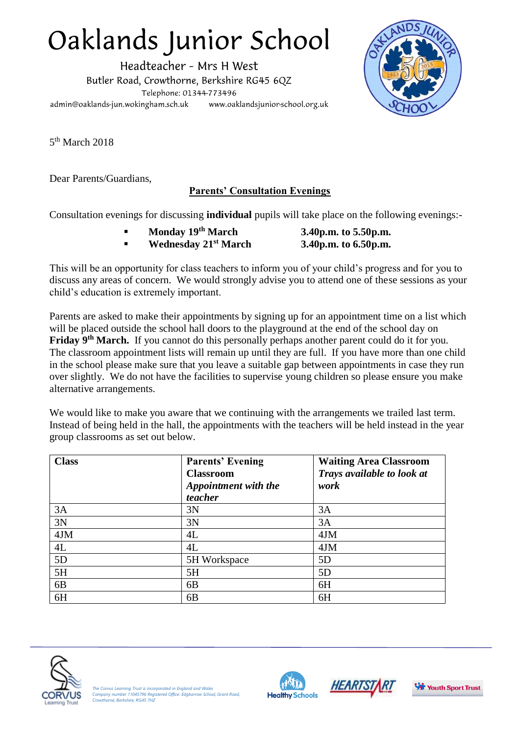## Oaklands Junior School

Headteacher - Mrs H West Butler Road, Crowthorne, Berkshire RG45 6QZ Telephone: 01344-773496 admin@oaklands-jun.wokingham.sch.uk www.oaklandsjunior-school.org.uk



5<sup>th</sup> March 2018

Dear Parents/Guardians,

## **Parents' Consultation Evenings**

Consultation evenings for discussing **individual** pupils will take place on the following evenings:-

- **Monday 19th March 3.40p.m. to 5.50p.m.**
- **Wednesday 21st March 3.40p.m. to 6.50p.m.**

This will be an opportunity for class teachers to inform you of your child's progress and for you to discuss any areas of concern. We would strongly advise you to attend one of these sessions as your child's education is extremely important.

Parents are asked to make their appointments by signing up for an appointment time on a list which will be placed outside the school hall doors to the playground at the end of the school day on **Friday 9th March.** If you cannot do this personally perhaps another parent could do it for you. The classroom appointment lists will remain up until they are full. If you have more than one child in the school please make sure that you leave a suitable gap between appointments in case they run over slightly. We do not have the facilities to supervise young children so please ensure you make alternative arrangements.

We would like to make you aware that we continuing with the arrangements we trailed last term. Instead of being held in the hall, the appointments with the teachers will be held instead in the year group classrooms as set out below.

| <b>Class</b>   | <b>Parents' Evening</b><br><b>Classroom</b><br>Appointment with the<br>teacher | <b>Waiting Area Classroom</b><br>Trays available to look at<br>work |
|----------------|--------------------------------------------------------------------------------|---------------------------------------------------------------------|
| 3A             | 3N                                                                             | 3A                                                                  |
| 3N             | 3N                                                                             | 3A                                                                  |
| 4JM            | 4L                                                                             | 4JM                                                                 |
| 4L             | 4L                                                                             | 4JM                                                                 |
| 5D             | 5H Workspace                                                                   | 5D                                                                  |
| 5H             | 5H                                                                             | 5D                                                                  |
| 6 <sub>B</sub> | 6 <sub>B</sub>                                                                 | 6H                                                                  |
| 6H             | 6B                                                                             | 6H                                                                  |